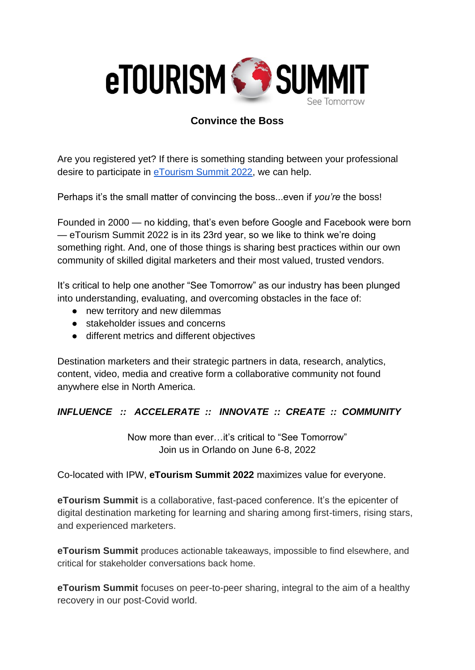

## **Convince the Boss**

Are you registered yet? If there is something standing between your professional desire to participate in [eTourism Summit 2022,](https://www.etourismsummit.com/) we can help.

Perhaps it's the small matter of convincing the boss...even if *you're* the boss!

Founded in 2000 — no kidding, that's even before Google and Facebook were born — eTourism Summit 2022 is in its 23rd year, so we like to think we're doing something right. And, one of those things is sharing best practices within our own community of skilled digital marketers and their most valued, trusted vendors.

It's critical to help one another "See Tomorrow" as our industry has been plunged into understanding, evaluating, and overcoming obstacles in the face of:

- new territory and new dilemmas
- stakeholder issues and concerns
- different metrics and different objectives

Destination marketers and their strategic partners in data, research, analytics, content, video, media and creative form a collaborative community not found anywhere else in North America.

## *INFLUENCE :: ACCELERATE :: INNOVATE :: CREATE :: COMMUNITY*

Now more than ever…it's critical to "See Tomorrow" Join us in Orlando on June 6-8, 2022

Co-located with IPW, **eTourism Summit 2022** maximizes value for everyone.

**eTourism Summit** is a collaborative, fast-paced conference. It's the epicenter of digital destination marketing for learning and sharing among first-timers, rising stars, and experienced marketers.

**eTourism Summit** produces actionable takeaways, impossible to find elsewhere, and critical for stakeholder conversations back home.

**eTourism Summit** focuses on peer-to-peer sharing, integral to the aim of a healthy recovery in our post-Covid world.